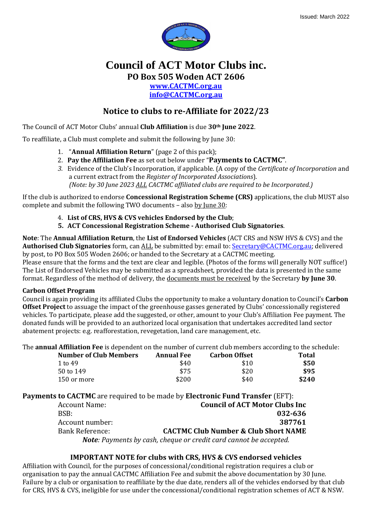

## **Council of ACT Motor Clubs inc. PO Box 505 Woden ACT 2606 [www.CACTMC.org.au](http://www.cactmc.org.au/) [info@CACTMC.org.au](mailto:info@CACTMC.org.au)**

### **Notice to clubs to re-Affiliate for 2022/23**

The Council of ACT Motor Clubs' annual **Club Affiliation** is due **30th June 2022**.

To reaffiliate, a Club must complete and submit the following by June 30:

- 1. "**Annual Affiliation Return**" (page 2 of this pack);
- 2. **Pay the Affiliation Fee** as set out below under "**Payments to CACTMC"**.
- *3.* Evidence of the Club's Incorporation, if applicable. (A copy of the *Certificate of Incorporation* and a current extract from the *Register of Incorporated Associations*). *(Note: by 30 June 2023 ALL CACTMC affiliated clubs are required to be Incorporated.)*

If the club is authorized to endorse **Concessional Registration Scheme (CRS)** applications, the club MUST also complete and submit the following TWO documents - also by June 30:

- 4. **List of CRS, HVS & CVS vehicles Endorsed by the Club**;
- **5. ACT Concessional Registration Scheme - Authorised Club Signatories**.

**Note**: The **Annual Affiliation Return**, the **List of Endorsed Vehicles** (ACT CRS and NSW HVS & CVS) and the **Authorised Club Signatories** form, can ALL be submitted by: email to[: Secretary@CACTMC.org.au;](mailto:Secretary@CACTMC.org.au) delivered by post, to PO Box 505 Woden 2606; or handed to the Secretary at a CACTMC meeting.

Please ensure that the forms and the text are clear and legible. (Photos of the forms will generally NOT suffice!) The List of Endorsed Vehicles may be submitted as a spreadsheet, provided the data is presented in the same format. Regardless of the method of delivery, the documents must be received by the Secretary **by June 30**.

### **Carbon Offset Program**

Council is again providing its affiliated Clubs the opportunity to make a voluntary donation to Council's **Carbon Offset Project** to assuage the impact of the greenhouse gasses generated by Clubs' concessionally registered vehicles. To participate, please add the suggested, or other, amount to your Club's Affiliation Fee payment. The donated funds will be provided to an authorized local organisation that undertakes accredited land sector abatement projects: e.g. reafforestation, revegetation, land care management, etc.

The **annual Affiliation Fee** is dependent on the number of current club members according to the schedule:

| <b>Number of Club Members</b> | <b>Annual Fee</b> | <b>Carbon Offset</b> | <b>Total</b> |
|-------------------------------|-------------------|----------------------|--------------|
| 1 to 49                       | \$40              | \$10                 | \$50         |
| 50 to 149                     | \$75              | \$20                 | \$95         |
| 150 or more                   | \$200             | \$40                 | \$240        |

**Payments to CACTMC** are required to be made by **Electronic Fund Transfer** (EFT):

| <b>Account Name:</b>   | <b>Council of ACT Motor Clubs Inc</b>                                     |
|------------------------|---------------------------------------------------------------------------|
| BSB:                   | 032-636                                                                   |
| Account number:        | 387761                                                                    |
| <b>Bank Reference:</b> | <b>CACTMC Club Number &amp; Club Short NAME</b>                           |
|                        | <b>Note</b> : Payments by cash, cheque or credit card cannot be accepted. |

### **IMPORTANT NOTE for clubs with CRS, HVS & CVS endorsed vehicles**

Affiliation with Council, for the purposes of concessional/conditional registration requires a club or organisation to pay the annual CACTMC Affiliation Fee and submit the above documentation by 30 June. Failure by a club or organisation to reaffiliate by the due date, renders all of the vehicles endorsed by that club for CRS, HVS & CVS, ineligible for use under the concessional/conditional registration schemes of ACT & NSW.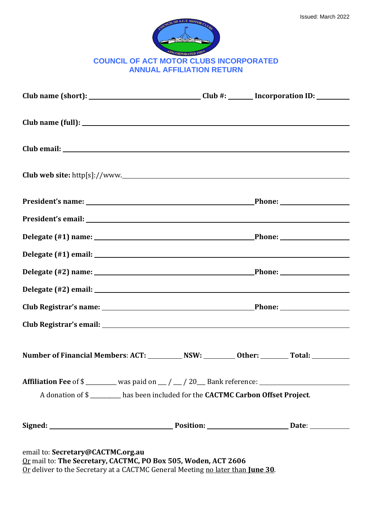| <b>MNCILOR</b>                                 |
|------------------------------------------------|
| <b>COUNCIL OF ACT MOTOR CLUBS INCORPORATED</b> |
| <b>ANNUAL AFFILIATION RETURN</b>               |

|                                                                                                       |  | Club name (short): ________________________________Club #: ________ Incorporation ID: _________ |
|-------------------------------------------------------------------------------------------------------|--|-------------------------------------------------------------------------------------------------|
|                                                                                                       |  |                                                                                                 |
|                                                                                                       |  |                                                                                                 |
| Club web site: $http[s]://www.$                                                                       |  |                                                                                                 |
|                                                                                                       |  |                                                                                                 |
|                                                                                                       |  |                                                                                                 |
|                                                                                                       |  |                                                                                                 |
|                                                                                                       |  |                                                                                                 |
|                                                                                                       |  |                                                                                                 |
|                                                                                                       |  |                                                                                                 |
|                                                                                                       |  |                                                                                                 |
|                                                                                                       |  |                                                                                                 |
| Number of Financial Members: ACT: ___________ NSW: _________ Other: ________ Total: __________        |  |                                                                                                 |
| Affiliation Fee of \$ ________ was paid on __/ __/ 20__ Bank reference: _____________________________ |  |                                                                                                 |
| A donation of \$ _______ has been included for the CACTMC Carbon Offset Project.                      |  |                                                                                                 |
|                                                                                                       |  |                                                                                                 |

Or mail to: **The Secretary, CACTMC, PO Box 505, Woden, ACT 2606**

Or deliver to the Secretary at a CACTMC General Meeting no later than **June 30**.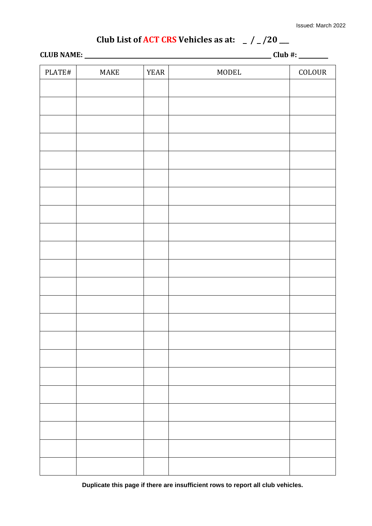# Club List of ACT CRS Vehicles as at:  $/ / 20$   $-$

|                                |      |             |       | $\frac{1}{\sqrt{1-\frac{1}{2}}\cdot\frac{1}{\sqrt{1-\frac{1}{2}}}}$ |  |
|--------------------------------|------|-------------|-------|---------------------------------------------------------------------|--|
| $\ensuremath{\mathsf{PLATEH}}$ | MAKE | <b>YEAR</b> | MODEL | COLOUR                                                              |  |
|                                |      |             |       |                                                                     |  |
|                                |      |             |       |                                                                     |  |
|                                |      |             |       |                                                                     |  |
|                                |      |             |       |                                                                     |  |
|                                |      |             |       |                                                                     |  |
|                                |      |             |       |                                                                     |  |
|                                |      |             |       |                                                                     |  |
|                                |      |             |       |                                                                     |  |
|                                |      |             |       |                                                                     |  |
|                                |      |             |       |                                                                     |  |
|                                |      |             |       |                                                                     |  |
|                                |      |             |       |                                                                     |  |
|                                |      |             |       |                                                                     |  |
|                                |      |             |       |                                                                     |  |
|                                |      |             |       |                                                                     |  |
|                                |      |             |       |                                                                     |  |
|                                |      |             |       |                                                                     |  |
|                                |      |             |       |                                                                     |  |
|                                |      |             |       |                                                                     |  |
|                                |      |             |       |                                                                     |  |
|                                |      |             |       |                                                                     |  |
|                                |      |             |       |                                                                     |  |
|                                |      |             |       |                                                                     |  |
|                                |      |             |       |                                                                     |  |
|                                |      |             |       |                                                                     |  |
|                                |      |             |       |                                                                     |  |

**Duplicate this page if there are insufficient rows to report all club vehicles.**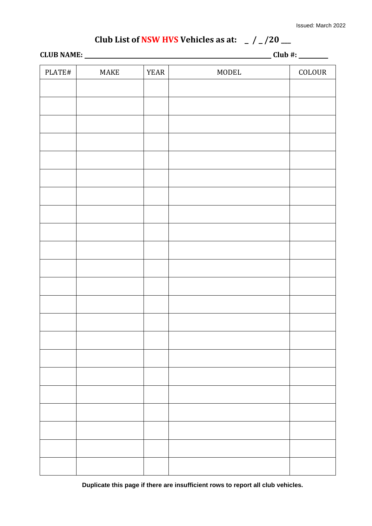# Club List of NSW HVS Vehicles as at:  $/2/20$   $-$

**CLUB NAME: Club #:** 

| PLATE# | MAKE | <b>YEAR</b> | MODEL | COLOUR |
|--------|------|-------------|-------|--------|
|        |      |             |       |        |
|        |      |             |       |        |
|        |      |             |       |        |
|        |      |             |       |        |
|        |      |             |       |        |
|        |      |             |       |        |
|        |      |             |       |        |
|        |      |             |       |        |
|        |      |             |       |        |
|        |      |             |       |        |
|        |      |             |       |        |
|        |      |             |       |        |
|        |      |             |       |        |
|        |      |             |       |        |
|        |      |             |       |        |
|        |      |             |       |        |
|        |      |             |       |        |
|        |      |             |       |        |
|        |      |             |       |        |
|        |      |             |       |        |
|        |      |             |       |        |
|        |      |             |       |        |
|        |      |             |       |        |
|        |      |             |       |        |

**Duplicate this page if there are insufficient rows to report all club vehicles.**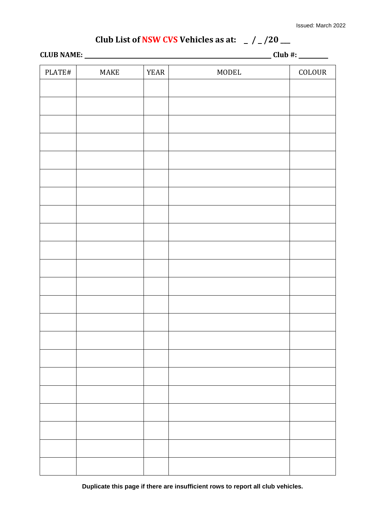# **Club List of NSW CVS** Vehicles as at:  $\frac{1}{2}$  /  $\frac{1}{20}$   $\frac{1}{20}$

| <b>CLUB NAME:</b> | Club #:<br>π. |
|-------------------|---------------|
|                   |               |

| PLATE# | MAKE | <b>YEAR</b> | MODEL | $\operatorname{COLOUR}$ |
|--------|------|-------------|-------|-------------------------|
|        |      |             |       |                         |
|        |      |             |       |                         |
|        |      |             |       |                         |
|        |      |             |       |                         |
|        |      |             |       |                         |
|        |      |             |       |                         |
|        |      |             |       |                         |
|        |      |             |       |                         |
|        |      |             |       |                         |
|        |      |             |       |                         |
|        |      |             |       |                         |
|        |      |             |       |                         |
|        |      |             |       |                         |
|        |      |             |       |                         |
|        |      |             |       |                         |
|        |      |             |       |                         |
|        |      |             |       |                         |
|        |      |             |       |                         |
|        |      |             |       |                         |
|        |      |             |       |                         |
|        |      |             |       |                         |
|        |      |             |       |                         |
|        |      |             |       |                         |
|        |      |             |       |                         |

**Duplicate this page if there are insufficient rows to report all club vehicles.**